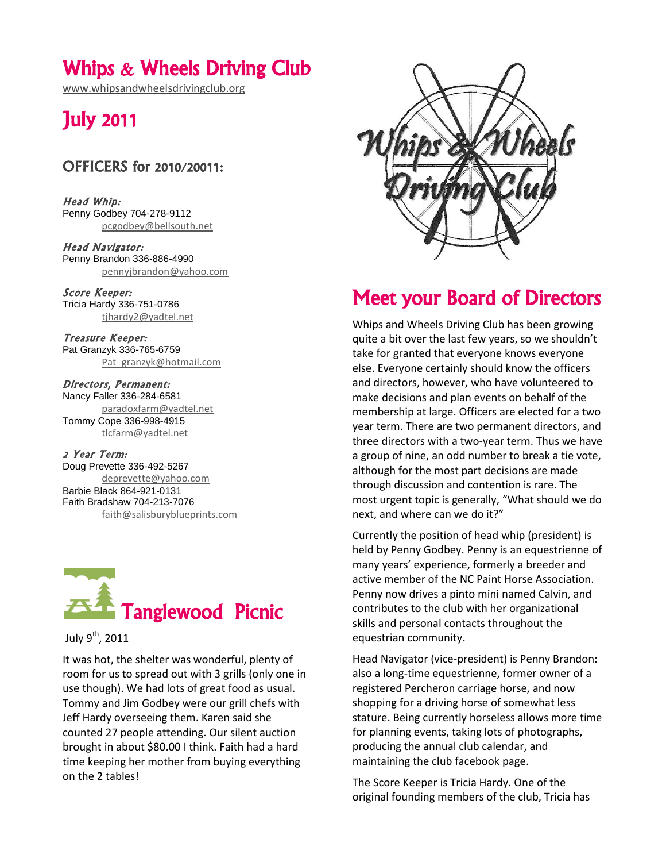## Whips & Wheels Driving Club

[www.whipsandwheelsdrivingclub.org](http://www.whipsandwheelsdrivingclub.org/)

# July 2011

### OFFICERS for 2010/20011:

Head Whip: Penny Godbey 704-278-9112 [pcgodbey@bellsouth.net](mailto:pcgodbey@bellsouth.net)

Head Navigator: Penny Brandon 336-886-4990 [pennyjbrandon@yahoo.com](mailto:pennyjbrandon@yahoo.com)

Score Keeper: Tricia Hardy 336-751-0786 [tjhardy2@yadtel.net](mailto:tjhardy2@yadtel.net)

Treasure Keeper: Pat Granzyk 336-765-6759 [Pat\\_granzyk@hotmail.com](mailto:Pat_granzyk@hotmail.com)

Directors, Permanent: Nancy Faller 336-284-6581 [paradoxfarm@yadtel.net](mailto:paradoxfarm@yadtel.net) Tommy Cope 336-998-4915 [tlcfarm@yadtel.net](mailto:tlcfarm@yadtel.net)

2 Year Term: Doug Prevette 336-492-5267 [deprevette@yahoo.com](mailto:deprevette@yahoo.com) Barbie Black 864-921-0131 Faith Bradshaw 704-213-7076 [faith@salisburyblueprints.com](mailto:faith@salisburyblueprints.com)



#### July 9<sup>th</sup>, 2011

It was hot, the shelter was wonderful, plenty of room for us to spread out with 3 grills (only one in use though). We had lots of great food as usual. Tommy and Jim Godbey were our grill chefs with Jeff Hardy overseeing them. Karen said she counted 27 people attending. Our silent auction brought in about \$80.00 I think. Faith had a hard time keeping her mother from buying everything on the 2 tables!



# Meet your Board of Directors

Whips and Wheels Driving Club has been growing quite a bit over the last few years, so we shouldn't take for granted that everyone knows everyone else. Everyone certainly should know the officers and directors, however, who have volunteered to make decisions and plan events on behalf of the membership at large. Officers are elected for a two year term. There are two permanent directors, and three directors with a two-year term. Thus we have a group of nine, an odd number to break a tie vote, although for the most part decisions are made through discussion and contention is rare. The most urgent topic is generally, "What should we do next, and where can we do it?"

Currently the position of head whip (president) is held by Penny Godbey. Penny is an equestrienne of many years' experience, formerly a breeder and active member of the NC Paint Horse Association. Penny now drives a pinto mini named Calvin, and contributes to the club with her organizational skills and personal contacts throughout the equestrian community.

Head Navigator (vice-president) is Penny Brandon: also a long-time equestrienne, former owner of a registered Percheron carriage horse, and now shopping for a driving horse of somewhat less stature. Being currently horseless allows more time for planning events, taking lots of photographs, producing the annual club calendar, and maintaining the club facebook page.

The Score Keeper is Tricia Hardy. One of the original founding members of the club, Tricia has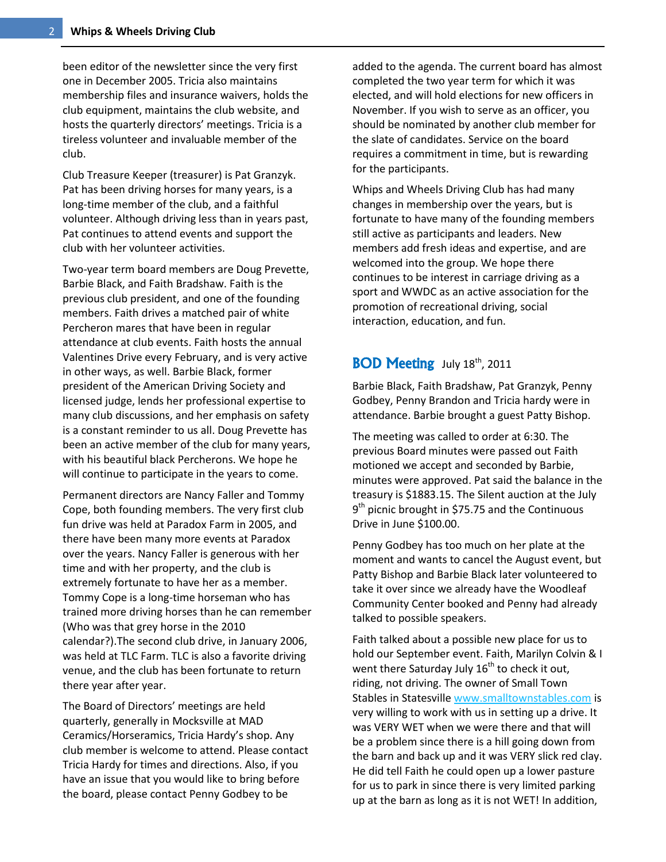been editor of the newsletter since the very first one in December 2005. Tricia also maintains membership files and insurance waivers, holds the club equipment, maintains the club website, and hosts the quarterly directors' meetings. Tricia is a tireless volunteer and invaluable member of the club.

Club Treasure Keeper (treasurer) is Pat Granzyk. Pat has been driving horses for many years, is a long-time member of the club, and a faithful volunteer. Although driving less than in years past, Pat continues to attend events and support the club with her volunteer activities.

Two-year term board members are Doug Prevette, Barbie Black, and Faith Bradshaw. Faith is the previous club president, and one of the founding members. Faith drives a matched pair of white Percheron mares that have been in regular attendance at club events. Faith hosts the annual Valentines Drive every February, and is very active in other ways, as well. Barbie Black, former president of the American Driving Society and licensed judge, lends her professional expertise to many club discussions, and her emphasis on safety is a constant reminder to us all. Doug Prevette has been an active member of the club for many years, with his beautiful black Percherons. We hope he will continue to participate in the years to come.

Permanent directors are Nancy Faller and Tommy Cope, both founding members. The very first club fun drive was held at Paradox Farm in 2005, and there have been many more events at Paradox over the years. Nancy Faller is generous with her time and with her property, and the club is extremely fortunate to have her as a member. Tommy Cope is a long-time horseman who has trained more driving horses than he can remember (Who was that grey horse in the 2010 calendar?).The second club drive, in January 2006, was held at TLC Farm. TLC is also a favorite driving venue, and the club has been fortunate to return there year after year.

The Board of Directors' meetings are held quarterly, generally in Mocksville at MAD Ceramics/Horseramics, Tricia Hardy's shop. Any club member is welcome to attend. Please contact Tricia Hardy for times and directions. Also, if you have an issue that you would like to bring before the board, please contact Penny Godbey to be

added to the agenda. The current board has almost completed the two year term for which it was elected, and will hold elections for new officers in November. If you wish to serve as an officer, you should be nominated by another club member for the slate of candidates. Service on the board requires a commitment in time, but is rewarding for the participants.

Whips and Wheels Driving Club has had many changes in membership over the years, but is fortunate to have many of the founding members still active as participants and leaders. New members add fresh ideas and expertise, and are welcomed into the group. We hope there continues to be interest in carriage driving as a sport and WWDC as an active association for the promotion of recreational driving, social interaction, education, and fun.

#### BOD Meeting July 18<sup>th</sup>, 2011

Barbie Black, Faith Bradshaw, Pat Granzyk, Penny Godbey, Penny Brandon and Tricia hardy were in attendance. Barbie brought a guest Patty Bishop.

The meeting was called to order at 6:30. The previous Board minutes were passed out Faith motioned we accept and seconded by Barbie, minutes were approved. Pat said the balance in the treasury is \$1883.15. The Silent auction at the July 9<sup>th</sup> picnic brought in \$75.75 and the Continuous Drive in June \$100.00.

Penny Godbey has too much on her plate at the moment and wants to cancel the August event, but Patty Bishop and Barbie Black later volunteered to take it over since we already have the Woodleaf Community Center booked and Penny had already talked to possible speakers.

Faith talked about a possible new place for us to hold our September event. Faith, Marilyn Colvin & I went there Saturday July  $16<sup>th</sup>$  to check it out, riding, not driving. The owner of Small Town Stables in Statesvill[e www.smalltownstables.com](http://www.smalltownstables.com/) is very willing to work with us in setting up a drive. It was VERY WET when we were there and that will be a problem since there is a hill going down from the barn and back up and it was VERY slick red clay. He did tell Faith he could open up a lower pasture for us to park in since there is very limited parking up at the barn as long as it is not WET! In addition,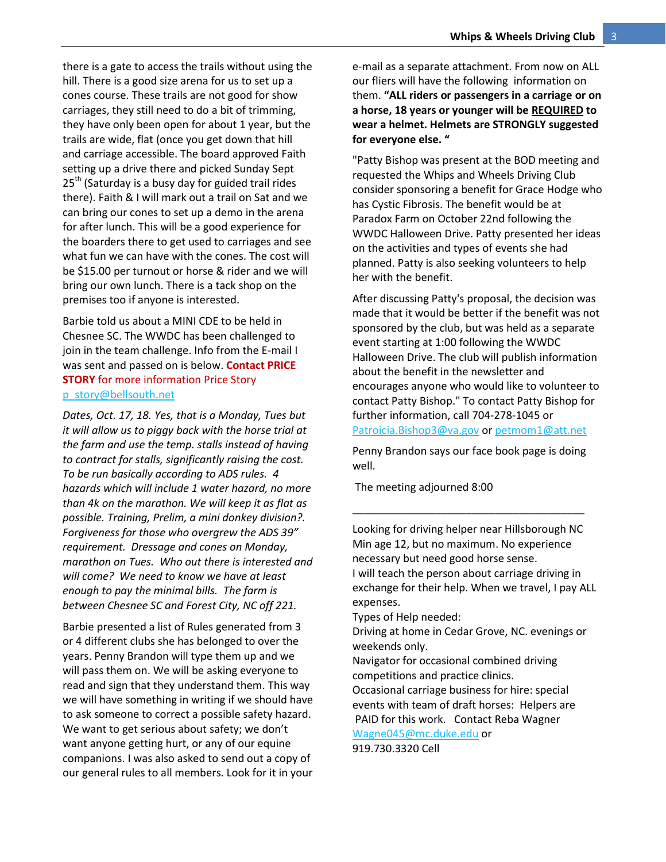there is a gate to access the trails without using the hill. There is a good size arena for us to set up a cones course. These trails are not good for show carriages, they still need to do a bit of trimming, they have only been open for about 1 year, but the trails are wide, flat (once you get down that hill and carriage accessible. The board approved Faith setting up a drive there and picked Sunday Sept  $25<sup>th</sup>$  (Saturday is a busy day for guided trail rides there). Faith & I will mark out a trail on Sat and we can bring our cones to set up a demo in the arena for after lunch. This will be a good experience for the boarders there to get used to carriages and see what fun we can have with the cones. The cost will be \$15.00 per turnout or horse & rider and we will bring our own lunch. There is a tack shop on the premises too if anyone is interested.

Barbie told us about a MINI CDE to be held in Chesnee SC. The WWDC has been challenged to join in the team challenge. Info from the E-mail I was sent and passed on is below. **Contact PRICE STORY** for more information Price Story [p\\_story@bellsouth.net](mailto:p_story@bellsouth.net)

*Dates, Oct. 17, 18. Yes, that is a Monday, Tues but it will allow us to piggy back with the horse trial at the farm and use the temp. stalls instead of having to contract for stalls, significantly raising the cost. To be run basically according to ADS rules. 4 hazards which will include 1 water hazard, no more than 4k on the marathon. We will keep it as flat as possible. Training, Prelim, a mini donkey division?. Forgiveness for those who overgrew the ADS 39" requirement. Dressage and cones on Monday, marathon on Tues. Who out there is interested and will come? We need to know we have at least enough to pay the minimal bills. The farm is between Chesnee SC and Forest City, NC off 221.*

Barbie presented a list of Rules generated from 3 or 4 different clubs she has belonged to over the years. Penny Brandon will type them up and we will pass them on. We will be asking everyone to read and sign that they understand them. This way we will have something in writing if we should have to ask someone to correct a possible safety hazard. We want to get serious about safety; we don't want anyone getting hurt, or any of our equine companions. I was also asked to send out a copy of our general rules to all members. Look for it in your

e-mail as a separate attachment. From now on ALL our fliers will have the following information on them. **"ALL riders or passengers in a carriage or on a horse, 18 years or younger will be REQUIRED to wear a helmet. Helmets are STRONGLY suggested for everyone else. "**

"Patty Bishop was present at the BOD meeting and requested the Whips and Wheels Driving Club consider sponsoring a benefit for Grace Hodge who has Cystic Fibrosis. The benefit would be at Paradox Farm on October 22nd following the WWDC Halloween Drive. Patty presented her ideas on the activities and types of events she had planned. Patty is also seeking volunteers to help her with the benefit.

After discussing Patty's proposal, the decision was made that it would be better if the benefit was not sponsored by the club, but was held as a separate event starting at 1:00 following the WWDC Halloween Drive. The club will publish information about the benefit in the newsletter and encourages anyone who would like to volunteer to contact Patty Bishop." To contact Patty Bishop for further information, call 704-278-1045 or [Patroicia.Bishop3@va.gov](mailto:Patroicia.Bishop3@va.gov) or [petmom1@att.net](mailto:petmom1@att.net)

Penny Brandon says our face book page is doing well.

\_\_\_\_\_\_\_\_\_\_\_\_\_\_\_\_\_\_\_\_\_\_\_\_\_\_\_\_\_\_\_\_\_\_\_\_\_\_\_

The meeting adjourned 8:00

Looking for driving helper near Hillsborough NC Min age 12, but no maximum. No experience necessary but need good horse sense. I will teach the person about carriage driving in exchange for their help. When we travel, I pay ALL expenses.

Types of Help needed:

Driving at home in Cedar Grove, NC. evenings or weekends only.

Navigator for occasional combined driving competitions and practice clinics.

Occasional carriage business for hire: special events with team of draft horses: Helpers are PAID for this work. Contact Reba Wagner [Wagne045@mc.duke.edu](mailto:Wagne045@mc.duke.edu) or

919.730.3320 Cell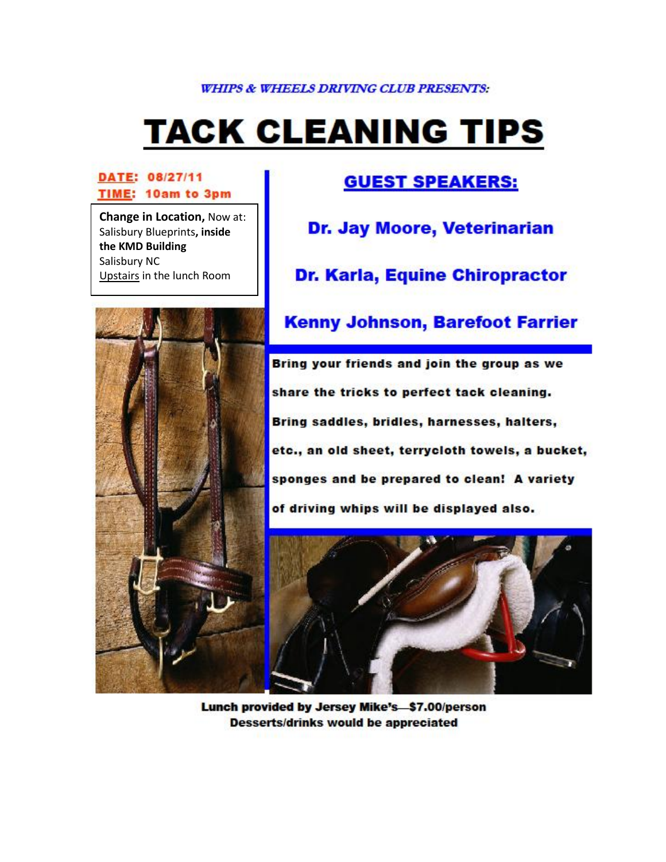#### **WHIPS & WHEELS DRIVING CLUB PRESENTS:**

# **TACK CLEANING TIPS**

#### DATE: 08/27/11 TIME: 10am to 3pm

**Change in Location, Now at:** Salisbury Blueprints, inside the KMD Building Salisbury NC Upstairs in the lunch Room

## **GUEST SPEAKERS:**

Dr. Jay Moore, Veterinarian

**Dr. Karla, Equine Chiropractor** 



## **Kenny Johnson, Barefoot Farrier**

Bring your friends and join the group as we share the tricks to perfect tack cleaning. Bring saddles, bridles, harnesses, halters, etc., an old sheet, terrycloth towels, a bucket, sponges and be prepared to clean! A variety of driving whips will be displayed also.



Lunch provided by Jersey Mike's-\$7.00/person **Desserts/drinks would be appreciated**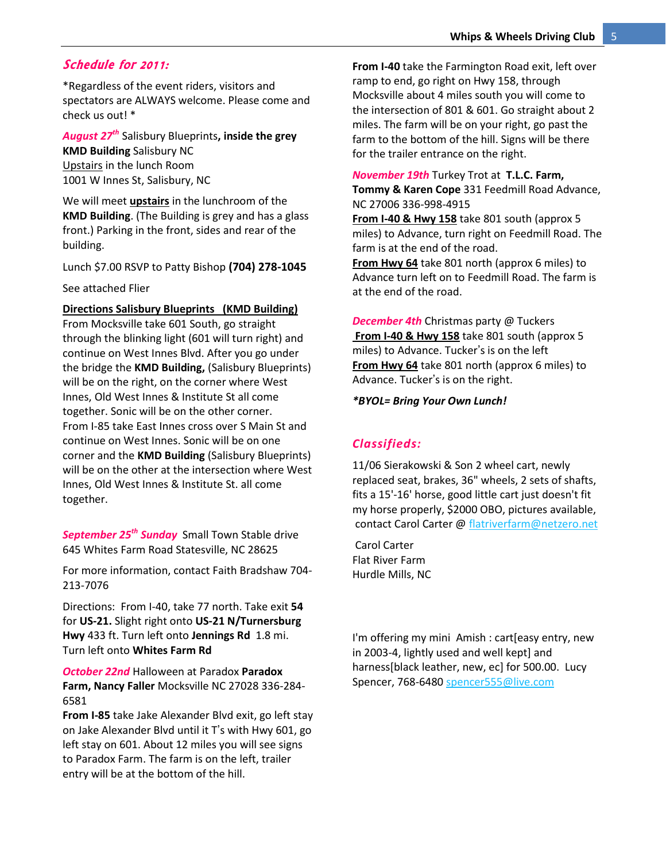#### Schedule for 2011:

\*Regardless of the event riders, visitors and spectators are ALWAYS welcome. Please come and check us out! \*

*August 27th* Salisbury Blueprints**, inside the grey KMD Building** Salisbury NC Upstairs in the lunch Room 1001 W Innes St, Salisbury, NC

We will meet **upstairs** in the lunchroom of the **KMD Building**. (The Building is grey and has a glass front.) Parking in the front, sides and rear of the building.

Lunch \$7.00 RSVP to Patty Bishop **(704) 278-1045**

See attached Flier

#### **Directions Salisbury Blueprints (KMD Building)**

From Mocksville take 601 South, go straight through the blinking light (601 will turn right) and continue on West Innes Blvd. After you go under the bridge the **KMD Building,** (Salisbury Blueprints) will be on the right, on the corner where West Innes, Old West Innes & Institute St all come together. Sonic will be on the other corner. From I-85 take East Innes cross over S Main St and continue on West Innes. Sonic will be on one corner and the **KMD Building** (Salisbury Blueprints) will be on the other at the intersection where West Innes, Old West Innes & Institute St. all come together.

*September 25th Sunday* Small Town Stable drive 645 Whites Farm Road Statesville, NC 28625

For more information, contact Faith Bradshaw 704- 213-7076

Directions: From I-40, take 77 north. Take exit **54** for **US-21.** Slight right onto **US-21 N/Turnersburg Hwy** 433 ft. Turn left onto **Jennings Rd** 1.8 mi. Turn left onto **Whites Farm Rd**

*October 22nd* Halloween at Paradox **Paradox Farm, Nancy Faller** Mocksville NC 27028 336-284- 6581

**From I-85** take Jake Alexander Blvd exit, go left stay on Jake Alexander Blvd until it T's with Hwy 601, go left stay on 601. About 12 miles you will see signs to Paradox Farm. The farm is on the left, trailer entry will be at the bottom of the hill.

**From I-40** take the Farmington Road exit, left over ramp to end, go right on Hwy 158, through Mocksville about 4 miles south you will come to the intersection of 801 & 601. Go straight about 2 miles. The farm will be on your right, go past the farm to the bottom of the hill. Signs will be there for the trailer entrance on the right.

*November 19th* Turkey Trot at **T.L.C. Farm, Tommy & Karen Cope** 331 Feedmill Road Advance, NC 27006 336-998-4915 **From I-40 & Hwy 158** take 801 south (approx 5 miles) to Advance, turn right on Feedmill Road. The farm is at the end of the road. **From Hwy 64** take 801 north (approx 6 miles) to

Advance turn left on to Feedmill Road. The farm is at the end of the road.

*December 4th* Christmas party @ Tuckers **From I-40 & Hwy 158** take 801 south (approx 5 miles) to Advance. Tucker's is on the left **From Hwy 64** take 801 north (approx 6 miles) to Advance. Tucker's is on the right.

*\*BYOL= Bring Your Own Lunch!*

#### *Classifieds:*

11/06 Sierakowski & Son 2 wheel cart, newly replaced seat, brakes, 36" wheels, 2 sets of shafts, fits a 15'-16' horse, good little cart just doesn't fit my horse properly, \$2000 OBO, pictures available, contact Carol Carter @ [flatriverfarm@netzero.net](mailto:flatriverfarm@netzero.net)

Carol Carter Flat River Farm Hurdle Mills, NC

I'm offering my mini Amish : cart[easy entry, new in 2003-4, lightly used and well kept] and harness[black leather, new, ec] for 500.00. Lucy Spencer, 768-6480 [spencer555@live.com](mailto:spencer555@live.com)